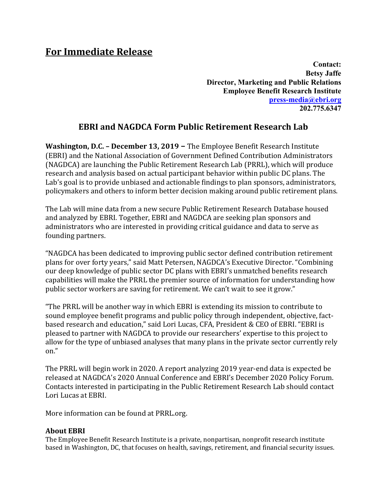## **For Immediate Release**

*Contact:*  $\blacksquare$ **Betsy Jaffe Director, Marketing and Public Relations Employee Benefit Research Institute [press-media@ebri.org](https://securemail.cetrom.net/owa/redir.aspx?C=hf_33_wkYzaP50Nzr8xHJfvm6zaC4b9Z4ekisN641e_fGNnrmYTXCA..&URL=mailto%3apress-media%40ebri.org) 202.775.6347**

## **EBRI and NAGDCA Form Public Retirement Research Lab**

**Washington, D.C. – December 13, 2019 –** The Employee Benefit Research Institute (EBRI) and the National Association of Government Defined Contribution Administrators (NAGDCA) are launching the Public Retirement Research Lab (PRRL), which will produce research and analysis based on actual participant behavior within public DC plans. The Lab's goal is to provide unbiased and actionable findings to plan sponsors, administrators, policymakers and others to inform better decision making around public retirement plans.

The Lab will mine data from a new secure Public Retirement Research Database housed and analyzed by EBRI. Together, EBRI and NAGDCA are seeking plan sponsors and administrators who are interested in providing critical guidance and data to serve as founding partners.

"NAGDCA has been dedicated to improving public sector defined contribution retirement plans for over forty years," said Matt Petersen, NAGDCA's Executive Director. "Combining our deep knowledge of public sector DC plans with EBRI's unmatched benefits research capabilities will make the PRRL the premier source of information for understanding how public sector workers are saving for retirement. We can't wait to see it grow."

"The PRRL will be another way in which EBRI is extending its mission to contribute to sound employee benefit programs and public policy through independent, objective, factbased research and education," said Lori Lucas, CFA, President & CEO of EBRI. "EBRI is pleased to partner with NAGDCA to provide our researchers' expertise to this project to allow for the type of unbiased analyses that many plans in the private sector currently rely on."

The PRRL will begin work in 2020. A report analyzing 2019 year-end data is expected be released at NAGDCA's 2020 Annual Conference and EBRI's December 2020 Policy Forum. Contacts interested in participating in the Public Retirement Research Lab should contact Lori Lucas at EBRI.

More information can be found at PRRL.org.

## **About EBRI**

The Employee Benefit Research Institute is a private, nonpartisan, nonprofit research institute based in Washington, DC, that focuses on health, savings, retirement, and financial security issues.